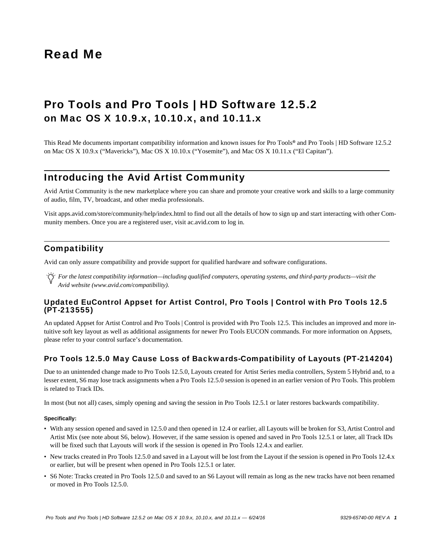# Read Me

# Pro Tools and Pro Tools | HD Software 12.5.2 on Mac OS X 10.9.x, 10.10.x, and 10.11.x

This Read Me documents important compatibility information and known issues for Pro Tools*®* and Pro Tools | HD Software 12.5.2 on Mac OS X 10.9.x ("Mavericks"), Mac OS X 10.10.x ("Yosemite"), and Mac OS X 10.11.x ("El Capitan").

# Introducing the Avid Artist Community

Avid Artist Community is the new marketplace where you can share and promote your creative work and skills to a large community of audio, film, TV, broadcast, and other media professionals.

[Visit apps.avid.com/store/community/help/index.html to find out all the details of how to sign up and start interacting with other Com](http://ac.avid.com/)munity members. Once you are a registered user, visit ac.avid.com to log in.

# **Compatibility**

Avid can only assure compatibility and provide support for qualified hardware and software configurations.

*For the latest compatibility information—including qualified computers, operating systems, and third-party products—visit the Avid website (www.avid.com/compatibility).*

# Updated EuControl Appset for Artist Control, Pro Tools | Control with Pro Tools 12.5 (PT-213555)

An updated Appset for Artist Control and Pro Tools | Control is provided with Pro Tools 12.5. This includes an improved and more intuitive soft key layout as well as additional assignments for newer Pro Tools EUCON commands. For more information on Appsets, please refer to your control surface's documentation.

# Pro Tools 12.5.0 May Cause Loss of Backwards-Compatibility of Layouts (PT-214204)

Due to an unintended change made to Pro Tools 12.5.0, Layouts created for Artist Series media controllers, System 5 Hybrid and, to a lesser extent, S6 may lose track assignments when a Pro Tools 12.5.0 session is opened in an earlier version of Pro Tools. This problem is related to Track IDs.

In most (but not all) cases, simply opening and saving the session in Pro Tools 12.5.1 or later restores backwards compatibility.

# **Specifically:**

- With any session opened and saved in 12.5.0 and then opened in 12.4 or earlier, all Layouts will be broken for S3, Artist Control and Artist Mix (see note about S6, below). However, if the same session is opened and saved in Pro Tools 12.5.1 or later, all Track IDs will be fixed such that Layouts will work if the session is opened in Pro Tools 12.4.x and earlier.
- New tracks created in Pro Tools 12.5.0 and saved in a Layout will be lost from the Layout if the session is opened in Pro Tools 12.4.x or earlier, but will be present when opened in Pro Tools 12.5.1 or later.
- S6 Note: Tracks created in Pro Tools 12.5.0 and saved to an S6 Layout will remain as long as the new tracks have not been renamed or moved in Pro Tools 12.5.0.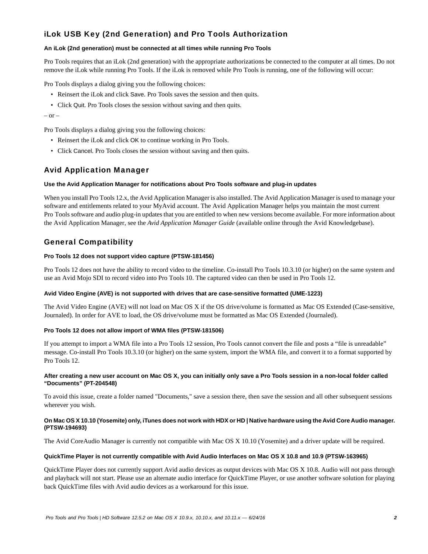# iLok USB Key (2nd Generation) and Pro Tools Authorization

# **An iLok (2nd generation) must be connected at all times while running Pro Tools**

Pro Tools requires that an iLok (2nd generation) with the appropriate authorizations be connected to the computer at all times. Do not remove the iLok while running Pro Tools. If the iLok is removed while Pro Tools is running, one of the following will occur:

Pro Tools displays a dialog giving you the following choices:

- Reinsert the iLok and click Save. Pro Tools saves the session and then quits.
- Click Quit. Pro Tools closes the session without saving and then quits.

 $-$  or  $-$ 

Pro Tools displays a dialog giving you the following choices:

- Reinsert the iLok and click OK to continue working in Pro Tools.
- Click Cancel. Pro Tools closes the session without saving and then quits.

# Avid Application Manager

# **Use the Avid Application Manager for notifications about Pro Tools software and plug-in updates**

When you install Pro Tools 12.x, the Avid Application Manager is also installed. The Avid Application Manager is used to manage your software and entitlements related to your MyAvid account. The Avid Application Manager helps you maintain the most current Pro Tools software and audio plug-in updates that you are entitled to when new versions become available. For more information about the Avid Application Manager, see the *Avid Application Manager Guide* (available online through the Avid Knowledgebase).

# General Compatibility

# **Pro Tools 12 does not support video capture (PTSW-181456)**

Pro Tools 12 does not have the ability to record video to the timeline. Co-install Pro Tools 10.3.10 (or higher) on the same system and use an Avid Mojo SDI to record video into Pro Tools 10. The captured video can then be used in Pro Tools 12.

# **Avid Video Engine (AVE) is not supported with drives that are case-sensitive formatted (UME-1223)**

The Avid Video Engine (AVE) will not load on Mac OS X if the OS drive/volume is formatted as Mac OS Extended (Case-sensitive, Journaled). In order for AVE to load, the OS drive/volume must be formatted as Mac OS Extended (Journaled).

# **Pro Tools 12 does not allow import of WMA files (PTSW-181506)**

If you attempt to import a WMA file into a Pro Tools 12 session, Pro Tools cannot convert the file and posts a "file is unreadable" message. Co-install Pro Tools 10.3.10 (or higher) on the same system, import the WMA file, and convert it to a format supported by Pro Tools 12.

#### **After creating a new user account on Mac OS X, you can initially only save a Pro Tools session in a non-local folder called "Documents" (PT-204548)**

To avoid this issue, create a folder named "Documents," save a session there, then save the session and all other subsequent sessions wherever you wish.

#### **On Mac OS X 10.10 (Yosemite) only, iTunes does not work with HDX or HD | Native hardware using the Avid Core Audio manager. (PTSW-194693)**

The Avid CoreAudio Manager is currently not compatible with Mac OS X 10.10 (Yosemite) and a driver update will be required.

# **QuickTime Player is not currently compatible with Avid Audio Interfaces on Mac OS X 10.8 and 10.9 (PTSW-163965)**

QuickTime Player does not currently support Avid audio devices as output devices with Mac OS X 10.8. Audio will not pass through and playback will not start. Please use an alternate audio interface for QuickTime Player, or use another software solution for playing back QuickTime files with Avid audio devices as a workaround for this issue.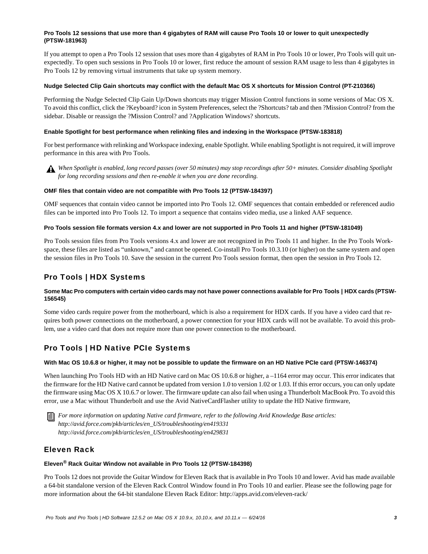# **Pro Tools 12 sessions that use more than 4 gigabytes of RAM will cause Pro Tools 10 or lower to quit unexpectedly (PTSW-181963)**

If you attempt to open a Pro Tools 12 session that uses more than 4 gigabytes of RAM in Pro Tools 10 or lower, Pro Tools will quit unexpectedly. To open such sessions in Pro Tools 10 or lower, first reduce the amount of session RAM usage to less than 4 gigabytes in Pro Tools 12 by removing virtual instruments that take up system memory.

#### **Nudge Selected Clip Gain shortcuts may conflict with the default Mac OS X shortcuts for Mission Control (PT-210366)**

Performing the Nudge Selected Clip Gain Up/Down shortcuts may trigger Mission Control functions in some versions of Mac OS X. To avoid this conflict, click the ?Keyboard? icon in System Preferences, select the ?Shortcuts? tab and then ?Mission Control? from the sidebar. Disable or reassign the ?Mission Control? and ?Application Windows? shortcuts.

#### **Enable Spotlight for best performance when relinking files and indexing in the Workspace (PTSW-183818)**

For best performance with relinking and Workspace indexing, enable Spotlight. While enabling Spotlight is not required, it will improve performance in this area with Pro Tools.



*When Spotlight is enabled, long record passes (over 50 minutes) may stop recordings after 50+ minutes. Consider disabling Spotlight for long recording sessions and then re-enable it when you are done recording.*

#### **OMF files that contain video are not compatible with Pro Tools 12 (PTSW-184397)**

OMF sequences that contain video cannot be imported into Pro Tools 12. OMF sequences that contain embedded or referenced audio files can be imported into Pro Tools 12. To import a sequence that contains video media, use a linked AAF sequence.

#### **Pro Tools session file formats version 4.x and lower are not supported in Pro Tools 11 and higher (PTSW-181049)**

Pro Tools session files from Pro Tools versions 4.x and lower are not recognized in Pro Tools 11 and higher. In the Pro Tools Workspace, these files are listed as "unknown," and cannot be opened. Co-install Pro Tools 10.3.10 (or higher) on the same system and open the session files in Pro Tools 10. Save the session in the current Pro Tools session format, then open the session in Pro Tools 12.

# Pro Tools | HDX Systems

# Some Mac Pro computers with certain video cards may not have power connections available for Pro Tools | HDX cards (PTSW-**156545)**

Some video cards require power from the motherboard, which is also a requirement for HDX cards. If you have a video card that requires both power connections on the motherboard, a power connection for your HDX cards will not be available. To avoid this problem, use a video card that does not require more than one power connection to the motherboard.

# Pro Tools | HD Native PCIe Systems

# **With Mac OS 10.6.8 or higher, it may not be possible to update the firmware on an HD Native PCIe card (PTSW-146374)**

When launching Pro Tools HD with an HD Native card on Mac OS 10.6.8 or higher, a -1164 error may occur. This error indicates that the firmware for the HD Native card cannot be updated from version 1.0 to version 1.02 or 1.03. If this error occurs, you can only update the firmware using Mac OS X 10.6.7 or lower. The firmware update can also fail when using a Thunderbolt MacBook Pro. To avoid this error, use a Mac without Thunderbolt and use the Avid NativeCardFlasher utility to update the HD Native firmware,

*For more information on updating Native card firmware, refer to the following Avid Knowledge Base articles: http://avid.force.com/pkb/articles/en\_US/troubleshooting/en419331 http://avid.force.com/pkb/articles/en\_US/troubleshooting/en429831*

# Eleven Rack

# **Eleven® Rack Guitar Window not available in Pro Tools 12 (PTSW-184398)**

Pro Tools 12 does not provide the Guitar Window for Eleven Rack that is available in Pro Tools 10 and lower. Avid has made available a 64-bit standalone version of the Eleven Rack Control Window found in Pro Tools 10 and earlier. Please see the following page for more information about the 64-bit standalone Eleven Rack Editor: http://apps.avid.com/eleven-rack/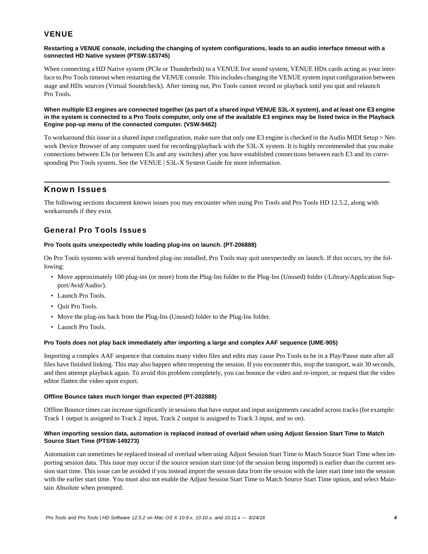# **VENUE**

#### **Restarting a VENUE console, including the changing of system configurations, leads to an audio interface timeout with a connected HD Native system (PTSW-183745)**

When connecting a HD Native system (PCIe or Thunderbolt) to a VENUE live sound system, VENUE HDx cards acting as your interface to Pro Tools timeout when restarting the VENUE console. This includes changing the VENUE system input configuration between stage and HDx sources (Virtual Soundcheck). After timing out, Pro Tools cannot record or playback until you quit and relaunch Pro Tools.

#### **When multiple E3 engines are connected together (as part of a shared input VENUE S3L-X system), and at least one E3 engine in the system is connected to a Pro Tools computer, only one of the available E3 engines may be listed twice in the Playback Engine pop-up menu of the connected computer. (VSW-9462)**

To workaround this issue in a shared input configuration, make sure that only one E3 engine is checked in the Audio MIDI Setup > Network Device Browser of any computer used for recording/playback with the S3L-X system. It is highly recommended that you make connections between E3s (or between E3s and any switches) after you have established connections between each E3 and its corresponding Pro Tools system. See the VENUE | S3L-X System Guide for more information.

# Known Issues

The following sections document known issues you may encounter when using Pro Tools and Pro Tools HD 12.5.2, along with workarounds if they exist.

# General Pro Tools Issues

# **Pro Tools quits unexpectedly while loading plug-ins on launch. (PT-206888)**

On Pro Tools systems with several hundred plug-ins installed, Pro Tools may quit unexpectedly on launch. If this occurs, try the following:

- Move approximately 100 plug-ins (or more) from the Plug-Ins folder to the Plug-Ins (Unused) folder (/Library/Application Support/Avid/Audio/).
- Launch Pro Tools.
- Ouit Pro Tools.
- Move the plug-ins back from the Plug-Ins (Unused) folder to the Plug-Ins folder.
- Launch Pro Tools.

# **Pro Tools does not play back immediately after importing a large and complex AAF sequence (UME-905)**

Importing a complex AAF sequence that contains many video files and edits may cause Pro Tools to be in a Play/Pause state after all files have finished linking. This may also happen when reopening the session. If you encounter this, stop the transport, wait 30 seconds, and then attempt playback again. To avoid this problem completely, you can bounce the video and re-import, or request that the video editor flatten the video upon export.

# **Offline Bounce takes much longer than expected (PT-202888)**

Offline Bounce times can increase significantly in sessions that have output and input assignments cascaded across tracks (for example: Track 1 output is assigned to Track 2 input, Track 2 output is assigned to Track 3 input, and so on).

# **When importing session data, automation is replaced instead of overlaid when using Adjust Session Start Time to Match Source Start Time (PTSW-149273)**

Automation can sometimes be replaced instead of overlaid when using Adjust Session Start Time to Match Source Start Time when importing session data. This issue may occur if the source session start time (of the session being imported) is earlier than the current session start time. This issue can be avoided if you instead import the session data from the session with the later start time into the session with the earlier start time. You must also not enable the Adjust Session Start Time to Match Source Start Time option, and select Maintain Absolute when prompted.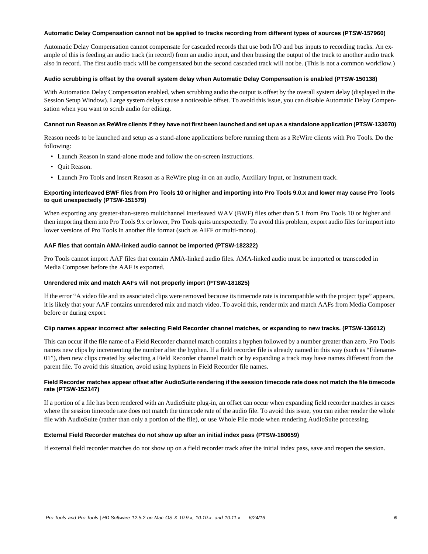#### **Automatic Delay Compensation cannot not be applied to tracks recording from different types of sources (PTSW-157960)**

Automatic Delay Compensation cannot compensate for cascaded records that use both I/O and bus inputs to recording tracks. An example of this is feeding an audio track (in record) from an audio input, and then bussing the output of the track to another audio track also in record. The first audio track will be compensated but the second cascaded track will not be. (This is not a common workflow.)

#### **Audio scrubbing is offset by the overall system delay when Automatic Delay Compensation is enabled (PTSW-150138)**

With Automation Delay Compensation enabled, when scrubbing audio the output is offset by the overall system delay (displayed in the Session Setup Window). Large system delays cause a noticeable offset. To avoid this issue, you can disable Automatic Delay Compensation when you want to scrub audio for editing.

# **Cannot run Reason as ReWire clients if they have not first been launched and set up as a standalone application (PTSW-133070)**

Reason needs to be launched and setup as a stand-alone applications before running them as a ReWire clients with Pro Tools. Do the following:

- Launch Reason in stand-alone mode and follow the on-screen instructions.
- Quit Reason.
- Launch Pro Tools and insert Reason as a ReWire plug-in on an audio, Auxiliary Input, or Instrument track.

#### **Exporting interleaved BWF files from Pro Tools 10 or higher and importing into Pro Tools 9.0.x and lower may cause Pro Tools to quit unexpectedly (PTSW-151579)**

When exporting any greater-than-stereo multichannel interleaved WAV (BWF) files other than 5.1 from Pro Tools 10 or higher and then importing them into Pro Tools 9.x or lower, Pro Tools quits unexpectedly. To avoid this problem, export audio files for import into lower versions of Pro Tools in another file format (such as AIFF or multi-mono).

#### **AAF files that contain AMA-linked audio cannot be imported (PTSW-182322)**

Pro Tools cannot import AAF files that contain AMA-linked audio files. AMA-linked audio must be imported or transcoded in Media Composer before the AAF is exported.

#### **Unrendered mix and match AAFs will not properly import (PTSW-181825)**

If the error "A video file and its associated clips were removed because its timecode rate is incompatible with the project type" appears, it is likely that your AAF contains unrendered mix and match video. To avoid this, render mix and match AAFs from Media Composer before or during export.

#### **Clip names appear incorrect after selecting Field Recorder channel matches, or expanding to new tracks. (PTSW-136012)**

This can occur if the file name of a Field Recorder channel match contains a hyphen followed by a number greater than zero. Pro Tools names new clips by incrementing the number after the hyphen. If a field recorder file is already named in this way (such as "Filename-01"), then new clips created by selecting a Field Recorder channel match or by expanding a track may have names different from the parent file. To avoid this situation, avoid using hyphens in Field Recorder file names.

# **Field Recorder matches appear offset after AudioSuite rendering if the session timecode rate does not match the file timecode rate (PTSW-152147)**

If a portion of a file has been rendered with an AudioSuite plug-in, an offset can occur when expanding field recorder matches in cases where the session timecode rate does not match the timecode rate of the audio file. To avoid this issue, you can either render the whole file with AudioSuite (rather than only a portion of the file), or use Whole File mode when rendering AudioSuite processing.

# **External Field Recorder matches do not show up after an initial index pass (PTSW-180659)**

If external field recorder matches do not show up on a field recorder track after the initial index pass, save and reopen the session.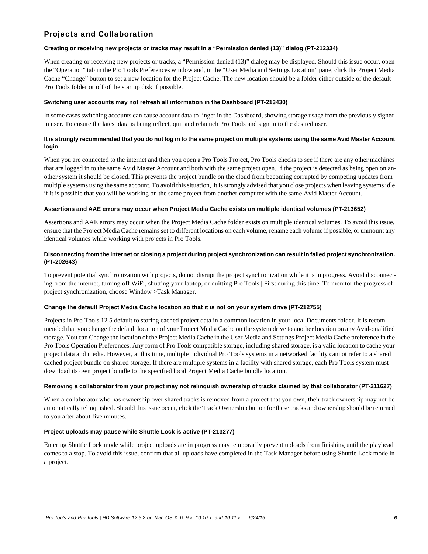# Projects and Collaboration

# **Creating or receiving new projects or tracks may result in a "Permission denied (13)" dialog (PT-212334)**

When creating or receiving new projects or tracks, a "Permission denied (13)" dialog may be displayed. Should this issue occur, open the "Operation" tab in the Pro Tools Preferences window and, in the "User Media and Settings Location" pane, click the Project Media Cache "Change" button to set a new location for the Project Cache. The new location should be a folder either outside of the default Pro Tools folder or off of the startup disk if possible.

#### **Switching user accounts may not refresh all information in the Dashboard (PT-213430)**

In some cases switching accounts can cause account data to linger in the Dashboard, showing storage usage from the previously signed in user. To ensure the latest data is being reflect, quit and relaunch Pro Tools and sign in to the desired user.

# **It is strongly recommended that you do not log in to the same project on multiple systems using the same Avid Master Account login**

When you are connected to the internet and then you open a Pro Tools Project, Pro Tools checks to see if there are any other machines that are logged in to the same Avid Master Account and both with the same project open. If the project is detected as being open on another system it should be closed. This prevents the project bundle on the cloud from becoming corrupted by competing updates from multiple systems using the same account. To avoid this situation, it is strongly advised that you close projects when leaving systems idle if it is possible that you will be working on the same project from another computer with the same Avid Master Account.

#### **Assertions and AAE errors may occur when Project Media Cache exists on multiple identical volumes (PT-213652)**

Assertions and AAE errors may occur when the Project Media Cache folder exists on multiple identical volumes. To avoid this issue, ensure that the Project Media Cache remains set to different locations on each volume, rename each volume if possible, or unmount any identical volumes while working with projects in Pro Tools.

# **Disconnecting from the internet or closing a project during project synchronization can result in failed project synchronization. (PT-202643)**

To prevent potential synchronization with projects, do not disrupt the project synchronization while it is in progress. Avoid disconnecting from the internet, turning off WiFi, shutting your laptop, or quitting Pro Tools | First during this time. To monitor the progress of project synchronization, choose Window >Task Manager.

# **Change the default Project Media Cache location so that it is not on your system drive (PT-212755)**

Projects in Pro Tools 12.5 default to storing cached project data in a common location in your local Documents folder. It is recommended that you change the default location of your Project Media Cache on the system drive to another location on any Avid-qualified storage. You can Change the location of the Project Media Cache in the User Media and Settings Project Media Cache preference in the Pro Tools Operation Preferences. Any form of Pro Tools compatible storage, including shared storage, is a valid location to cache your project data and media. However, at this time, multiple individual Pro Tools systems in a networked facility cannot refer to a shared cached project bundle on shared storage. If there are multiple systems in a facility with shared storage, each Pro Tools system must download its own project bundle to the specified local Project Media Cache bundle location.

# **Removing a collaborator from your project may not relinquish ownership of tracks claimed by that collaborator (PT-211627)**

When a collaborator who has ownership over shared tracks is removed from a project that you own, their track ownership may not be automatically relinquished. Should this issue occur, click the Track Ownership button for these tracks and ownership should be returned to you after about five minutes.

# **Project uploads may pause while Shuttle Lock is active (PT-213277)**

Entering Shuttle Lock mode while project uploads are in progress may temporarily prevent uploads from finishing until the playhead comes to a stop. To avoid this issue, confirm that all uploads have completed in the Task Manager before using Shuttle Lock mode in a project.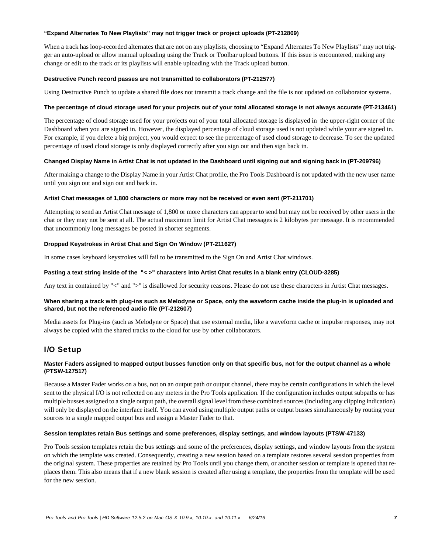#### **"Expand Alternates To New Playlists" may not trigger track or project uploads (PT-212809)**

When a track has loop-recorded alternates that are not on any playlists, choosing to "Expand Alternates To New Playlists" may not trigger an auto-upload or allow manual uploading using the Track or Toolbar upload buttons. If this issue is encountered, making any change or edit to the track or its playlists will enable uploading with the Track upload button.

#### **Destructive Punch record passes are not transmitted to collaborators (PT-212577)**

Using Destructive Punch to update a shared file does not transmit a track change and the file is not updated on collaborator systems.

# **The percentage of cloud storage used for your projects out of your total allocated storage is not always accurate (PT-213461)**

The percentage of cloud storage used for your projects out of your total allocated storage is displayed in the upper-right corner of the Dashboard when you are signed in. However, the displayed percentage of cloud storage used is not updated while your are signed in. For example, if you delete a big project, you would expect to see the percentage of used cloud storage to decrease. To see the updated percentage of used cloud storage is only displayed correctly after you sign out and then sign back in.

#### **Changed Display Name in Artist Chat is not updated in the Dashboard until signing out and signing back in (PT-209796)**

After making a change to the Display Name in your Artist Chat profile, the Pro Tools Dashboard is not updated with the new user name until you sign out and sign out and back in.

#### **Artist Chat messages of 1,800 characters or more may not be received or even sent (PT-211701)**

Attempting to send an Artist Chat message of 1,800 or more characters can appear to send but may not be received by other users in the chat or they may not be sent at all. The actual maximum limit for Artist Chat messages is 2 kilobytes per message. It is recommended that uncommonly long messages be posted in shorter segments.

#### **Dropped Keystrokes in Artist Chat and Sign On Window (PT-211627)**

In some cases keyboard keystrokes will fail to be transmitted to the Sign On and Artist Chat windows.

#### **Pasting a text string inside of the "< >" characters into Artist Chat results in a blank entry (CLOUD-3285)**

Any text in contained by "<" and ">" is disallowed for security reasons. Please do not use these characters in Artist Chat messages.

#### **When sharing a track with plug-ins such as Melodyne or Space, only the waveform cache inside the plug-in is uploaded and shared, but not the referenced audio file (PT-212607)**

Media assets for Plug-ins (such as Melodyne or Space) that use external media, like a waveform cache or impulse responses, may not always be copied with the shared tracks to the cloud for use by other collaborators.

# I/O Setup

# **Master Faders assigned to mapped output busses function only on that specific bus, not for the output channel as a whole (PTSW-127517)**

Because a Master Fader works on a bus, not on an output path or output channel, there may be certain configurations in which the level sent to the physical I/O is not reflected on any meters in the Pro Tools application. If the configuration includes output subpaths or has multiple busses assigned to a single output path, the overall signal level from these combined sources (including any clipping indication) will only be displayed on the interface itself. You can avoid using multiple output paths or output busses simultaneously by routing your sources to a single mapped output bus and assign a Master Fader to that.

#### **Session templates retain Bus settings and some preferences, display settings, and window layouts (PTSW-47133)**

Pro Tools session templates retain the bus settings and some of the preferences, display settings, and window layouts from the system on which the template was created. Consequently, creating a new session based on a template restores several session properties from the original system. These properties are retained by Pro Tools until you change them, or another session or template is opened that replaces them. This also means that if a new blank session is created after using a template, the properties from the template will be used for the new session.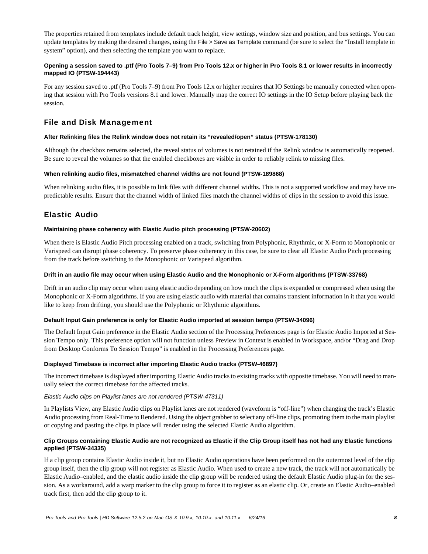The properties retained from templates include default track height, view settings, window size and position, and bus settings. You can update templates by making the desired changes, using the File > Save as Template command (be sure to select the "Install template in system" option), and then selecting the template you want to replace.

# **Opening a session saved to .ptf (Pro Tools 7–9) from Pro Tools 12.x or higher in Pro Tools 8.1 or lower results in incorrectly mapped IO (PTSW-194443)**

For any session saved to .ptf (Pro Tools 7–9) from Pro Tools 12.x or higher requires that IO Settings be manually corrected when opening that session with Pro Tools versions 8.1 and lower. Manually map the correct IO settings in the IO Setup before playing back the session.

# File and Disk Management

#### **After Relinking files the Relink window does not retain its "revealed/open" status (PTSW-178130)**

Although the checkbox remains selected, the reveal status of volumes is not retained if the Relink window is automatically reopened. Be sure to reveal the volumes so that the enabled checkboxes are visible in order to reliably relink to missing files.

#### **When relinking audio files, mismatched channel widths are not found (PTSW-189868)**

When relinking audio files, it is possible to link files with different channel widths. This is not a supported workflow and may have unpredictable results. Ensure that the channel width of linked files match the channel widths of clips in the session to avoid this issue.

# Elastic Audio

#### **Maintaining phase coherency with Elastic Audio pitch processing (PTSW-20602)**

When there is Elastic Audio Pitch processing enabled on a track, switching from Polyphonic, Rhythmic, or X-Form to Monophonic or Varispeed can disrupt phase coherency. To preserve phase coherency in this case, be sure to clear all Elastic Audio Pitch processing from the track before switching to the Monophonic or Varispeed algorithm.

#### **Drift in an audio file may occur when using Elastic Audio and the Monophonic or X-Form algorithms (PTSW-33768)**

Drift in an audio clip may occur when using elastic audio depending on how much the clips is expanded or compressed when using the Monophonic or X-Form algorithms. If you are using elastic audio with material that contains transient information in it that you would like to keep from drifting, you should use the Polyphonic or Rhythmic algorithms.

#### **Default Input Gain preference is only for Elastic Audio imported at session tempo (PTSW-34096)**

The Default Input Gain preference in the Elastic Audio section of the Processing Preferences page is for Elastic Audio Imported at Session Tempo only. This preference option will not function unless Preview in Context is enabled in Workspace, and/or "Drag and Drop from Desktop Conforms To Session Tempo" is enabled in the Processing Preferences page.

#### **Displayed Timebase is incorrect after importing Elastic Audio tracks (PTSW-46897)**

The incorrect timebase is displayed after importing Elastic Audio tracks to existing tracks with opposite timebase. You will need to manually select the correct timebase for the affected tracks.

# *Elastic Audio clips on Playlist lanes are not rendered (PTSW-47311)*

In Playlists View, any Elastic Audio clips on Playlist lanes are not rendered (waveform is "off-line") when changing the track's Elastic Audio processing from Real-Time to Rendered. Using the object grabber to select any off-line clips, promoting them to the main playlist or copying and pasting the clips in place will render using the selected Elastic Audio algorithm.

# **Clip Groups containing Elastic Audio are not recognized as Elastic if the Clip Group itself has not had any Elastic functions applied (PTSW-34335)**

If a clip group contains Elastic Audio inside it, but no Elastic Audio operations have been performed on the outermost level of the clip group itself, then the clip group will not register as Elastic Audio. When used to create a new track, the track will not automatically be Elastic Audio–enabled, and the elastic audio inside the clip group will be rendered using the default Elastic Audio plug-in for the session. As a workaround, add a warp marker to the clip group to force it to register as an elastic clip. Or, create an Elastic Audio–enabled track first, then add the clip group to it.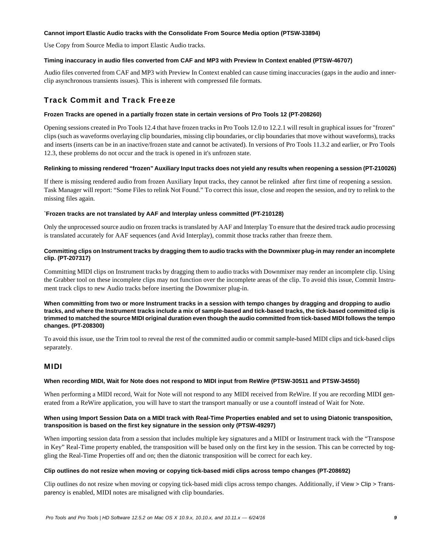#### **Cannot import Elastic Audio tracks with the Consolidate From Source Media option (PTSW-33894)**

Use Copy from Source Media to import Elastic Audio tracks.

#### **Timing inaccuracy in audio files converted from CAF and MP3 with Preview In Context enabled (PTSW-46707)**

Audio files converted from CAF and MP3 with Preview In Context enabled can cause timing inaccuracies (gaps in the audio and innerclip asynchronous transients issues). This is inherent with compressed file formats.

# Track Commit and Track Freeze

#### **Frozen Tracks are opened in a partially frozen state in certain versions of Pro Tools 12 (PT-208260)**

Opening sessions created in Pro Tools 12.4 that have frozen tracks in Pro Tools 12.0 to 12.2.1 will result in graphical issues for "frozen" clips (such as waveforms overlaying clip boundaries, missing clip boundaries, or clip boundaries that move without waveforms), tracks and inserts (inserts can be in an inactive/frozen state and cannot be activated). In versions of Pro Tools 11.3.2 and earlier, or Pro Tools 12.3, these problems do not occur and the track is opened in it's unfrozen state.

#### **Relinking to missing rendered "frozen" Auxiliary Input tracks does not yield any results when reopening a session (PT-210026)**

If there is missing rendered audio from frozen Auxiliary Input tracks, they cannot be relinked after first time of reopening a session. Task Manager will report: "Some Files to relink Not Found." To correct this issue, close and reopen the session, and try to relink to the missing files again.

#### **`Frozen tracks are not translated by AAF and Interplay unless committed (PT-210128)**

Only the unprocessed source audio on frozen tracks is translated by AAF and Interplay To ensure that the desired track audio processing is translated accurately for AAF sequences (and Avid Interplay), commit those tracks rather than freeze them.

# **Committing clips on Instrument tracks by dragging them to audio tracks with the Downmixer plug-in may render an incomplete clip. (PT-207317)**

Committing MIDI clips on Instrument tracks by dragging them to audio tracks with Downmixer may render an incomplete clip. Using the Grabber tool on these incomplete clips may not function over the incomplete areas of the clip. To avoid this issue, Commit Instrument track clips to new Audio tracks before inserting the Downmixer plug-in.

**When committing from two or more Instrument tracks in a session with tempo changes by dragging and dropping to audio tracks, and where the Instrument tracks include a mix of sample-based and tick-based tracks, the tick-based committed clip is trimmed to matched the source MIDI original duration even though the audio committed from tick-based MIDI follows the tempo changes. (PT-208300)**

To avoid this issue, use the Trim tool to reveal the rest of the committed audio or commit sample-based MIDI clips and tick-based clips separately.

# MIDI

# **When recording MIDI, Wait for Note does not respond to MIDI input from ReWire (PTSW-30511 and PTSW-34550)**

When performing a MIDI record, Wait for Note will not respond to any MIDI received from ReWire. If you are recording MIDI generated from a ReWire application, you will have to start the transport manually or use a countoff instead of Wait for Note.

#### **When using Import Session Data on a MIDI track with Real-Time Properties enabled and set to using Diatonic transposition, transposition is based on the first key signature in the session only (PTSW-49297)**

When importing session data from a session that includes multiple key signatures and a MIDI or Instrument track with the "Transpose in Key" Real-Time property enabled, the transposition will be based only on the first key in the session. This can be corrected by toggling the Real-Time Properties off and on; then the diatonic transposition will be correct for each key.

#### **Clip outlines do not resize when moving or copying tick-based midi clips across tempo changes (PT-208692)**

Clip outlines do not resize when moving or copying tick-based midi clips across tempo changes. Additionally, if View > Clip > Transparency is enabled, MIDI notes are misaligned with clip boundaries.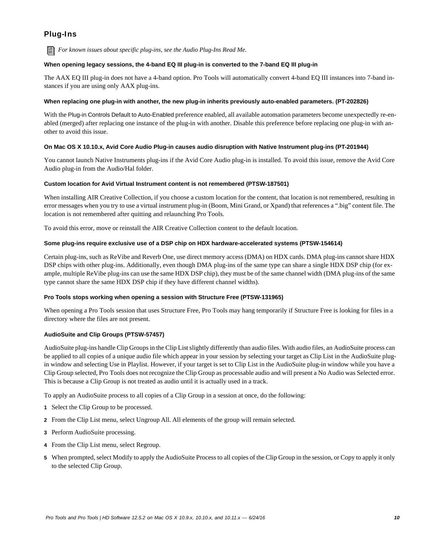# Plug-Ins

*For known issues about specific plug-ins, see the Audio Plug-Ins Read Me.*

# **When opening legacy sessions, the 4-band EQ III plug-in is converted to the 7-band EQ III plug-in**

The AAX EQ III plug-in does not have a 4-band option. Pro Tools will automatically convert 4-band EQ III instances into 7-band instances if you are using only AAX plug-ins.

# **When replacing one plug-in with another, the new plug-in inherits previously auto-enabled parameters. (PT-202826)**

With the Plug-in Controls Default to Auto-Enabled preference enabled, all available automation parameters become unexpectedly re-enabled (merged) after replacing one instance of the plug-in with another. Disable this preference before replacing one plug-in with another to avoid this issue.

# **On Mac OS X 10.10.x, Avid Core Audio Plug-in causes audio disruption with Native Instrument plug-ins (PT-201944)**

You cannot launch Native Instruments plug-ins if the Avid Core Audio plug-in is installed. To avoid this issue, remove the Avid Core Audio plug-in from the Audio/Hal folder.

# **Custom location for Avid Virtual Instrument content is not remembered (PTSW-187501)**

When installing AIR Creative Collection, if you choose a custom location for the content, that location is not remembered, resulting in error messages when you try to use a virtual instrument plug-in (Boom, Mini Grand, or Xpand) that references a ".big" content file. The location is not remembered after quitting and relaunching Pro Tools.

To avoid this error, move or reinstall the AIR Creative Collection content to the default location.

# **Some plug-ins require exclusive use of a DSP chip on HDX hardware-accelerated systems (PTSW-154614)**

Certain plug-ins, such as ReVibe and Reverb One, use direct memory access (DMA) on HDX cards. DMA plug-ins cannot share HDX DSP chips with other plug-ins. Additionally, even though DMA plug-ins of the same type can share a single HDX DSP chip (for example, multiple ReVibe plug-ins can use the same HDX DSP chip), they must be of the same channel width (DMA plug-ins of the same type cannot share the same HDX DSP chip if they have different channel widths).

# **Pro Tools stops working when opening a session with Structure Free (PTSW-131965)**

When opening a Pro Tools session that uses Structure Free, Pro Tools may hang temporarily if Structure Free is looking for files in a directory where the files are not present.

# **AudioSuite and Clip Groups (PTSW-57457)**

AudioSuite plug-ins handle Clip Groups in the Clip List slightly differently than audio files. With audio files, an AudioSuite process can be applied to all copies of a unique audio file which appear in your session by selecting your target as Clip List in the AudioSuite plugin window and selecting Use in Playlist. However, if your target is set to Clip List in the AudioSuite plug-in window while you have a Clip Group selected, Pro Tools does not recognize the Clip Group as processable audio and will present a No Audio was Selected error. This is because a Clip Group is not treated as audio until it is actually used in a track.

To apply an AudioSuite process to all copies of a Clip Group in a session at once, do the following:

- **1** Select the Clip Group to be processed.
- **2** From the Clip List menu, select Ungroup All. All elements of the group will remain selected.
- **3** Perform AudioSuite processing.
- **4** From the Clip List menu, select Regroup.
- **5** When prompted, select Modify to apply the AudioSuite Process to all copies of the Clip Group in the session, or Copy to apply it only to the selected Clip Group.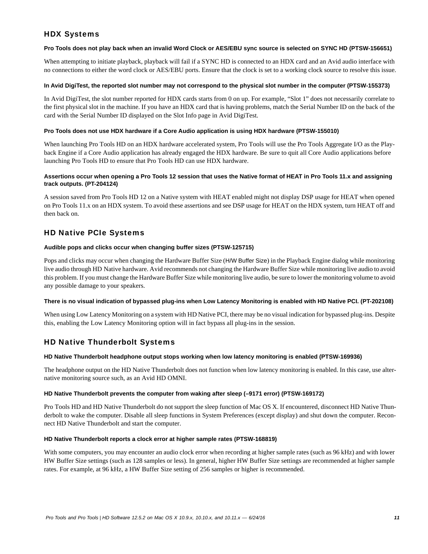# HDX Systems

#### **Pro Tools does not play back when an invalid Word Clock or AES/EBU sync source is selected on SYNC HD (PTSW-156651)**

When attempting to initiate playback, playback will fail if a SYNC HD is connected to an HDX card and an Avid audio interface with no connections to either the word clock or AES/EBU ports. Ensure that the clock is set to a working clock source to resolve this issue.

#### **In Avid DigiTest, the reported slot number may not correspond to the physical slot number in the computer (PTSW-155373)**

In Avid DigiTest, the slot number reported for HDX cards starts from 0 on up. For example, "Slot 1" does not necessarily correlate to the first physical slot in the machine. If you have an HDX card that is having problems, match the Serial Number ID on the back of the card with the Serial Number ID displayed on the Slot Info page in Avid DigiTest.

#### **Pro Tools does not use HDX hardware if a Core Audio application is using HDX hardware (PTSW-155010)**

When launching Pro Tools HD on an HDX hardware accelerated system, Pro Tools will use the Pro Tools Aggregate I/O as the Playback Engine if a Core Audio application has already engaged the HDX hardware. Be sure to quit all Core Audio applications before launching Pro Tools HD to ensure that Pro Tools HD can use HDX hardware.

# **Assertions occur when opening a Pro Tools 12 session that uses the Native format of HEAT in Pro Tools 11.x and assigning track outputs. (PT-204124)**

A session saved from Pro Tools HD 12 on a Native system with HEAT enabled might not display DSP usage for HEAT when opened on Pro Tools 11.x on an HDX system. To avoid these assertions and see DSP usage for HEAT on the HDX system, turn HEAT off and then back on.

# HD Native PCIe Systems

#### **Audible pops and clicks occur when changing buffer sizes (PTSW-125715)**

Pops and clicks may occur when changing the Hardware Buffer Size (H/W Buffer Size) in the Playback Engine dialog while monitoring live audio through HD Native hardware. Avid recommends not changing the Hardware Buffer Size while monitoring live audio to avoid this problem. If you must change the Hardware Buffer Size while monitoring live audio, be sure to lower the monitoring volume to avoid any possible damage to your speakers.

# **There is no visual indication of bypassed plug-ins when Low Latency Monitoring is enabled with HD Native PCI. (PT-202108)**

When using Low Latency Monitoring on a system with HD Native PCI, there may be no visual indication for bypassed plug-ins. Despite this, enabling the Low Latency Monitoring option will in fact bypass all plug-ins in the session.

# HD Native Thunderbolt Systems

# **HD Native Thunderbolt headphone output stops working when low latency monitoring is enabled (PTSW-169936)**

The headphone output on the HD Native Thunderbolt does not function when low latency monitoring is enabled. In this case, use alternative monitoring source such, as an Avid HD OMNI.

# **HD Native Thunderbolt prevents the computer from waking after sleep (–9171 error) (PTSW-169172)**

Pro Tools HD and HD Native Thunderbolt do not support the sleep function of Mac OS X. If encountered, disconnect HD Native Thunderbolt to wake the computer. Disable all sleep functions in System Preferences (except display) and shut down the computer. Reconnect HD Native Thunderbolt and start the computer.

#### **HD Native Thunderbolt reports a clock error at higher sample rates (PTSW-168819)**

With some computers, you may encounter an audio clock error when recording at higher sample rates (such as 96 kHz) and with lower HW Buffer Size settings (such as 128 samples or less). In general, higher HW Buffer Size settings are recommended at higher sample rates. For example, at 96 kHz, a HW Buffer Size setting of 256 samples or higher is recommended.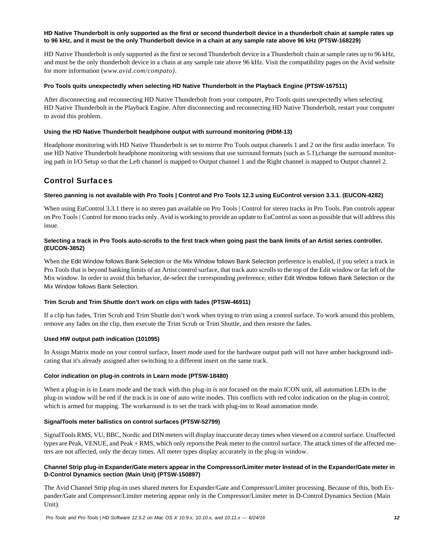#### **HD Native Thunderbolt is only supported as the first or second thunderbolt device in a thunderbolt chain at sample rates up to 96 kHz, and it must be the only Thunderbolt device in a chain at any sample rate above 96 kHz (PTSW-168229)**

HD Native Thunderbolt is only supported as the first or second Thunderbolt device in a Thunderbolt chain at sample rates up to 96 kHz, and must be the only thunderbolt device in a chain at any sample rate above 96 kHz. Visit the compatibility pages on the Avid website for more information (*www.avid.com/compato)*.

#### **Pro Tools quits unexpectedly when selecting HD Native Thunderbolt in the Playback Engine (PTSW-167511)**

After disconnecting and reconnecting HD Native Thunderbolt from your computer, Pro Tools quits unexpectedly when selecting HD Native Thunderbolt in the Playback Engine. After disconnecting and reconnecting HD Native Thunderbolt, restart your computer to avoid this problem.

#### **Using the HD Native Thunderbolt headphone output with surround monitoring (HDM-13)**

Headphone monitoring with HD Native Thunderbolt is set to mirror Pro Tools output channels 1 and 2 on the first audio interface. To use HD Native Thunderbolt headphone monitoring with sessions that use surround formats (such as 5.1), change the surround monitoring path in I/O Setup so that the Left channel is mapped to Output channel 1 and the Right channel is mapped to Output channel 2.

# Control Surfaces

#### **Stereo panning is not available with Pro Tools | Control and Pro Tools 12.3 using EuControl version 3.3.1. (EUCON-4282)**

When using EuControl 3.3.1 there is no stereo pan available on Pro Tools | Control for stereo tracks in Pro Tools. Pan controls appear on Pro Tools | Control for mono tracks only. Avid is working to provide an update to EuControl as soon as possible that will address this issue.

#### **Selecting a track in Pro Tools auto-scrolls to the first track when going past the bank limits of an Artist series controller. (EUCON-3852)**

When the Edit Window follows Bank Selection or the Mix Window follows Bank Selection preference is enabled, if you select a track in Pro Tools that is beyond banking limits of an Artist control surface, that track auto scrolls to the top of the Edit window or far left of the Mix window. In order to avoid this behavior, de-select the corresponding preference, either Edit Window follows Bank Selection or the Mix Window follows Bank Selection.

#### **Trim Scrub and Trim Shuttle don't work on clips with fades (PTSW-46911)**

If a clip has fades, Trim Scrub and Trim Shuttle don't work when trying to trim using a control surface. To work around this problem, remove any fades on the clip, then execute the Trim Scrub or Trim Shuttle, and then restore the fades.

#### **Used HW output path indication (101095)**

In Assign Matrix mode on your control surface, Insert mode used for the hardware output path will not have amber background indicating that it's already assigned after switching to a different insert on the same track.

#### **Color indication on plug-in controls in Learn mode (PTSW-18480)**

When a plug-in is in Learn mode and the track with this plug-in is not focused on the main ICON unit, all automation LEDs in the plug-in window will be red if the track is in one of auto write modes. This conflicts with red color indication on the plug-in control, which is armed for mapping. The workaround is to set the track with plug-ins to Read automation mode.

#### **SignalTools meter ballistics on control surfaces (PTSW-52799)**

SignalTools RMS, VU, BBC, Nordic and DIN meters will display inaccurate decay times when viewed on a control surface. Unaffected types are Peak, VENUE, and Peak + RMS, which only reports the Peak meter to the control surface. The attack times of the affected meters are not affected, only the decay times. All meter types display accurately in the plug-in window.

#### **Channel Strip plug-in Expander/Gate meters appear in the Compressor/Limiter meter Instead of in the Expander/Gate meter in D-Control Dynamics section (Main Unit) (PTSW-150897)**

The Avid Channel Strip plug-in uses shared meters for Expander/Gate and Compressor/Limiter processing. Because of this, both Expander/Gate and Compressor/Limiter metering appear only in the Compressor/Limiter meter in D-Control Dynamics Section (Main Unit).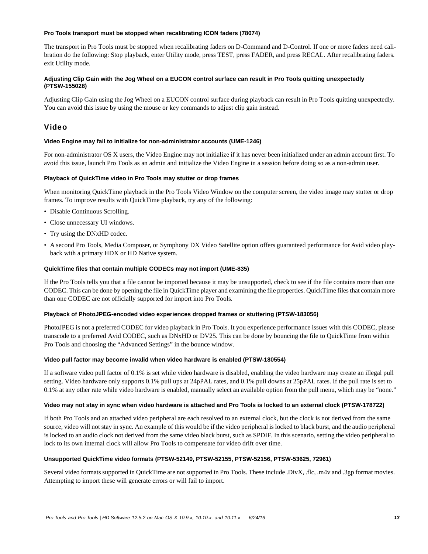#### **Pro Tools transport must be stopped when recalibrating ICON faders (78074)**

The transport in Pro Tools must be stopped when recalibrating faders on D-Command and D-Control. If one or more faders need calibration do the following: Stop playback, enter Utility mode, press TEST, press FADER, and press RECAL. After recalibrating faders. exit Utility mode.

# **Adjusting Clip Gain with the Jog Wheel on a EUCON control surface can result in Pro Tools quitting unexpectedly (PTSW-155028)**

Adjusting Clip Gain using the Jog Wheel on a EUCON control surface during playback can result in Pro Tools quitting unexpectedly. You can avoid this issue by using the mouse or key commands to adjust clip gain instead.

# Video

#### **Video Engine may fail to initialize for non-administrator accounts (UME-1246)**

For non-administrator OS X users, the Video Engine may not initialize if it has never been initialized under an admin account first. To avoid this issue, launch Pro Tools as an admin and initialize the Video Engine in a session before doing so as a non-admin user.

#### **Playback of QuickTime video in Pro Tools may stutter or drop frames**

When monitoring QuickTime playback in the Pro Tools Video Window on the computer screen, the video image may stutter or drop frames. To improve results with QuickTime playback, try any of the following:

- Disable Continuous Scrolling.
- Close unnecessary UI windows.
- Try using the DNxHD codec.
- A second Pro Tools, Media Composer, or Symphony DX Video Satellite option offers guaranteed performance for Avid video playback with a primary HDX or HD Native system.

#### **QuickTime files that contain multiple CODECs may not import (UME-835)**

If the Pro Tools tells you that a file cannot be imported because it may be unsupported, check to see if the file contains more than one CODEC. This can be done by opening the file in QuickTime player and examining the file properties. QuickTime files that contain more than one CODEC are not officially supported for import into Pro Tools.

#### **Playback of PhotoJPEG-encoded video experiences dropped frames or stuttering (PTSW-183056)**

PhotoJPEG is not a preferred CODEC for video playback in Pro Tools. It you experience performance issues with this CODEC, please transcode to a preferred Avid CODEC, such as DNxHD or DV25. This can be done by bouncing the file to QuickTime from within Pro Tools and choosing the "Advanced Settings" in the bounce window.

#### **Video pull factor may become invalid when video hardware is enabled (PTSW-180554)**

If a software video pull factor of 0.1% is set while video hardware is disabled, enabling the video hardware may create an illegal pull setting. Video hardware only supports 0.1% pull ups at 24pPAL rates, and 0.1% pull downs at 25pPAL rates. If the pull rate is set to 0.1% at any other rate while video hardware is enabled, manually select an available option from the pull menu, which may be "none."

#### **Video may not stay in sync when video hardware is attached and Pro Tools is locked to an external clock (PTSW-178722)**

If both Pro Tools and an attached video peripheral are each resolved to an external clock, but the clock is not derived from the same source, video will not stay in sync. An example of this would be if the video peripheral is locked to black burst, and the audio peripheral is locked to an audio clock not derived from the same video black burst, such as SPDIF. In this scenario, setting the video peripheral to lock to its own internal clock will allow Pro Tools to compensate for video drift over time.

# **Unsupported QuickTime video formats (PTSW-52140, PTSW-52155, PTSW-52156, PTSW-53625, 72961)**

Several video formats supported in QuickTime are not supported in Pro Tools. These include .DivX, .flc, .m4v and .3gp format movies. Attempting to import these will generate errors or will fail to import.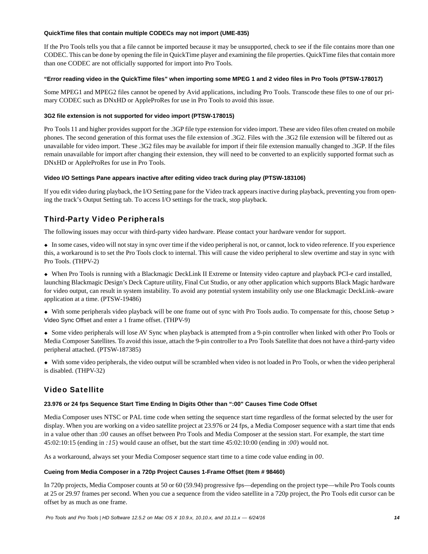#### **QuickTime files that contain multiple CODECs may not import (UME-835)**

If the Pro Tools tells you that a file cannot be imported because it may be unsupported, check to see if the file contains more than one CODEC. This can be done by opening the file in QuickTime player and examining the file properties. QuickTime files that contain more than one CODEC are not officially supported for import into Pro Tools.

#### **"Error reading video in the QuickTime files" when importing some MPEG 1 and 2 video files in Pro Tools (PTSW-178017)**

Some MPEG1 and MPEG2 files cannot be opened by Avid applications, including Pro Tools. Transcode these files to one of our primary CODEC such as DNxHD or AppleProRes for use in Pro Tools to avoid this issue.

# **3G2 file extension is not supported for video import (PTSW-178015)**

Pro Tools 11 and higher provides support for the .3GP file type extension for video import. These are video files often created on mobile phones. The second generation of this format uses the file extension of .3G2. Files with the .3G2 file extension will be filtered out as unavailable for video import. These .3G2 files may be available for import if their file extension manually changed to .3GP. If the files remain unavailable for import after changing their extension, they will need to be converted to an explicitly supported format such as DNxHD or AppleProRes for use in Pro Tools.

#### **Video I/O Settings Pane appears inactive after editing video track during play (PTSW-183106)**

If you edit video during playback, the I/O Setting pane for the Video track appears inactive during playback, preventing you from opening the track's Output Setting tab. To access I/O settings for the track, stop playback.

# Third-Party Video Peripherals

The following issues may occur with third-party video hardware. Please contact your hardware vendor for support.

 In some cases, video will not stay in sync over time if the video peripheral is not, or cannot, lock to video reference. If you experience this, a workaround is to set the Pro Tools clock to internal. This will cause the video peripheral to slew overtime and stay in sync with Pro Tools. (THPV-2)

 When Pro Tools is running with a Blackmagic DeckLink II Extreme or Intensity video capture and playback PCI-e card installed, launching Blackmagic Design's Deck Capture utility, Final Cut Studio, or any other application which supports Black Magic hardware for video output, can result in system instability. To avoid any potential system instability only use one Blackmagic DeckLink–aware application at a time. (PTSW-19486)

 With some peripherals video playback will be one frame out of sync with Pro Tools audio. To compensate for this, choose Setup > Video Sync Offset and enter a 1 frame offset. (THPV-9)

 Some video peripherals will lose AV Sync when playback is attempted from a 9-pin controller when linked with other Pro Tools or Media Composer Satellites. To avoid this issue, attach the 9-pin controller to a Pro Tools Satellite that does not have a third-party video peripheral attached. (PTSW-187385)

 With some video peripherals, the video output will be scrambled when video is not loaded in Pro Tools, or when the video peripheral is disabled. (THPV-32)

# Video Satellite

# **23.976 or 24 fps Sequence Start Time Ending In Digits Other than ":00" Causes Time Code Offset**

Media Composer uses NTSC or PAL time code when setting the sequence start time regardless of the format selected by the user for display. When you are working on a video satellite project at 23.976 or 24 fps, a Media Composer sequence with a start time that ends in a value other than :*00* causes an offset between Pro Tools and Media Composer at the session start. For example, the start time 45:02:10:15 (ending in *:15*) would cause an offset, but the start time 45:02:10:00 (ending in :*00*) would not.

As a workaround, always set your Media Composer sequence start time to a time code value ending in *00*.

#### **Cueing from Media Composer in a 720p Project Causes 1-Frame Offset (Item # 98460)**

In 720p projects, Media Composer counts at 50 or 60 (59.94) progressive fps—depending on the project type—while Pro Tools counts at 25 or 29.97 frames per second. When you cue a sequence from the video satellite in a 720p project, the Pro Tools edit cursor can be offset by as much as one frame.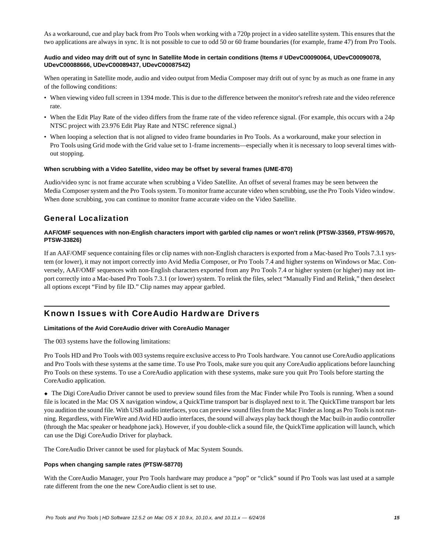As a workaround, cue and play back from Pro Tools when working with a 720p project in a video satellite system. This ensures that the two applications are always in sync. It is not possible to cue to odd 50 or 60 frame boundaries (for example, frame 47) from Pro Tools.

#### **Audio and video may drift out of sync In Satellite Mode in certain conditions (Items # UDevC00090064, UDevC00090078, UDevC00088666, UDevC00089437, UDevC00087542)**

When operating in Satellite mode, audio and video output from Media Composer may drift out of sync by as much as one frame in any of the following conditions:

- When viewing video full screen in 1394 mode. This is due to the difference between the monitor's refresh rate and the video reference rate.
- When the Edit Play Rate of the video differs from the frame rate of the video reference signal. (For example, this occurs with a 24p NTSC project with 23.976 Edit Play Rate and NTSC reference signal.)
- When looping a selection that is not aligned to video frame boundaries in Pro Tools. As a workaround, make your selection in Pro Tools using Grid mode with the Grid value set to 1-frame increments—especially when it is necessary to loop several times without stopping.

#### **When scrubbing with a Video Satellite, video may be offset by several frames (UME-870)**

Audio/video sync is not frame accurate when scrubbing a Video Satellite. An offset of several frames may be seen between the Media Composer system and the Pro Tools system. To monitor frame accurate video when scrubbing, use the Pro Tools Video window. When done scrubbing, you can continue to monitor frame accurate video on the Video Satellite.

# General Localization

#### **AAF/OMF sequences with non-English characters import with garbled clip names or won't relink (PTSW-33569, PTSW-99570, PTSW-33826)**

If an AAF/OMF sequence containing files or clip names with non-English characters is exported from a Mac-based Pro Tools 7.3.1 system (or lower), it may not import correctly into Avid Media Composer, or Pro Tools 7.4 and higher systems on Windows or Mac. Conversely, AAF/OMF sequences with non-English characters exported from any Pro Tools 7.4 or higher system (or higher) may not import correctly into a Mac-based Pro Tools 7.3.1 (or lower) system. To relink the files, select "Manually Find and Relink," then deselect all options except "Find by file ID." Clip names may appear garbled.

# Known Issues with CoreAudio Hardware Drivers

#### **Limitations of the Avid CoreAudio driver with CoreAudio Manager**

The 003 systems have the following limitations:

Pro Tools HD and Pro Tools with 003 systems require exclusive access to Pro Tools hardware. You cannot use CoreAudio applications and Pro Tools with these systems at the same time. To use Pro Tools, make sure you quit any CoreAudio applications before launching Pro Tools on these systems. To use a CoreAudio application with these systems, make sure you quit Pro Tools before starting the CoreAudio application.

 The Digi CoreAudio Driver cannot be used to preview sound files from the Mac Finder while Pro Tools is running. When a sound file is located in the Mac OS X navigation window, a QuickTime transport bar is displayed next to it. The QuickTime transport bar lets you audition the sound file. With USB audio interfaces, you can preview sound files from the Mac Finder as long as Pro Tools is not running. Regardless, with FireWire and Avid HD audio interfaces, the sound will always play back though the Mac built-in audio controller (through the Mac speaker or headphone jack). However, if you double-click a sound file, the QuickTime application will launch, which can use the Digi CoreAudio Driver for playback.

The CoreAudio Driver cannot be used for playback of Mac System Sounds.

#### **Pops when changing sample rates (PTSW-58770)**

With the CoreAudio Manager, your Pro Tools hardware may produce a "pop" or "click" sound if Pro Tools was last used at a sample rate different from the one the new CoreAudio client is set to use.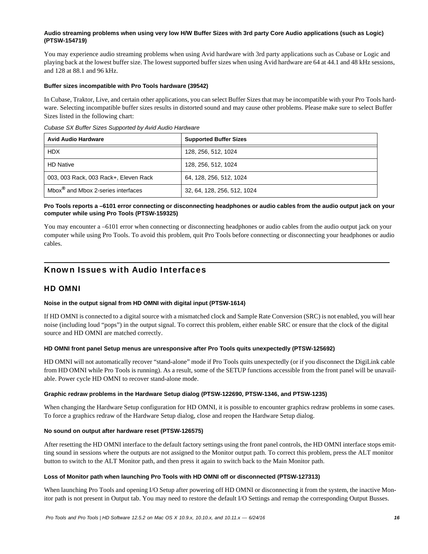# **Audio streaming problems when using very low H/W Buffer Sizes with 3rd party Core Audio applications (such as Logic) (PTSW-154719)**

You may experience audio streaming problems when using Avid hardware with 3rd party applications such as Cubase or Logic and playing back at the lowest buffer size. The lowest supported buffer sizes when using Avid hardware are 64 at 44.1 and 48 kHz sessions, and 128 at 88.1 and 96 kHz.

#### **Buffer sizes incompatible with Pro Tools hardware (39542)**

In Cubase, Traktor, Live, and certain other applications, you can select Buffer Sizes that may be incompatible with your Pro Tools hardware. Selecting incompatible buffer sizes results in distorted sound and may cause other problems. Please make sure to select Buffer Sizes listed in the following chart:

*Cubase SX Buffer Sizes Supported by Avid Audio Hardware*

| <b>Avid Audio Hardware</b>                     | <b>Supported Buffer Sizes</b> |
|------------------------------------------------|-------------------------------|
| <b>HDX</b>                                     | 128, 256, 512, 1024           |
| <b>HD Native</b>                               | 128, 256, 512, 1024           |
| 003, 003 Rack, 003 Rack+, Eleven Rack          | 64, 128, 256, 512, 1024       |
| Mbox <sup>®</sup> and Mbox 2-series interfaces | 32, 64, 128, 256, 512, 1024   |

# **Pro Tools reports a –6101 error connecting or disconnecting headphones or audio cables from the audio output jack on your computer while using Pro Tools (PTSW-159325)**

You may encounter a –6101 error when connecting or disconnecting headphones or audio cables from the audio output jack on your computer while using Pro Tools. To avoid this problem, quit Pro Tools before connecting or disconnecting your headphones or audio cables.

# Known Issues with Audio Interfaces

# HD OMNI

# **Noise in the output signal from HD OMNI with digital input (PTSW-1614)**

If HD OMNI is connected to a digital source with a mismatched clock and Sample Rate Conversion (SRC) is not enabled, you will hear noise (including loud "pops") in the output signal. To correct this problem, either enable SRC or ensure that the clock of the digital source and HD OMNI are matched correctly.

# **HD OMNI front panel Setup menus are unresponsive after Pro Tools quits unexpectedly (PTSW-125692)**

HD OMNI will not automatically recover "stand-alone" mode if Pro Tools quits unexpectedly (or if you disconnect the DigiLink cable from HD OMNI while Pro Tools is running). As a result, some of the SETUP functions accessible from the front panel will be unavailable. Power cycle HD OMNI to recover stand-alone mode.

#### **Graphic redraw problems in the Hardware Setup dialog (PTSW-122690, PTSW-1346, and PTSW-1235)**

When changing the Hardware Setup configuration for HD OMNI, it is possible to encounter graphics redraw problems in some cases. To force a graphics redraw of the Hardware Setup dialog, close and reopen the Hardware Setup dialog.

# **No sound on output after hardware reset (PTSW-126575)**

After resetting the HD OMNI interface to the default factory settings using the front panel controls, the HD OMNI interface stops emitting sound in sessions where the outputs are not assigned to the Monitor output path. To correct this problem, press the ALT monitor button to switch to the ALT Monitor path, and then press it again to switch back to the Main Monitor path.

# **Loss of Monitor path when launching Pro Tools with HD OMNI off or disconnected (PTSW-127313)**

When launching Pro Tools and opening I/O Setup after powering off HD OMNI or disconnecting it from the system, the inactive Monitor path is not present in Output tab. You may need to restore the default I/O Settings and remap the corresponding Output Busses.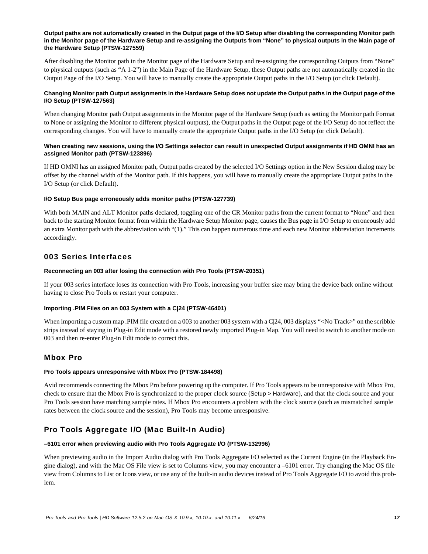#### **Output paths are not automatically created in the Output page of the I/O Setup after disabling the corresponding Monitor path in the Monitor page of the Hardware Setup and re-assigning the Outputs from "None" to physical outputs in the Main page of the Hardware Setup (PTSW-127559)**

After disabling the Monitor path in the Monitor page of the Hardware Setup and re-assigning the corresponding Outputs from "None" to physical outputs (such as "A 1-2") in the Main Page of the Hardware Setup, these Output paths are not automatically created in the Output Page of the I/O Setup. You will have to manually create the appropriate Output paths in the I/O Setup (or click Default).

# **Changing Monitor path Output assignments in the Hardware Setup does not update the Output paths in the Output page of the I/O Setup (PTSW-127563)**

When changing Monitor path Output assignments in the Monitor page of the Hardware Setup (such as setting the Monitor path Format to None or assigning the Monitor to different physical outputs), the Output paths in the Output page of the I/O Setup do not reflect the corresponding changes. You will have to manually create the appropriate Output paths in the I/O Setup (or click Default).

# **When creating new sessions, using the I/O Settings selector can result in unexpected Output assignments if HD OMNI has an assigned Monitor path (PTSW-123896)**

If HD OMNI has an assigned Monitor path, Output paths created by the selected I/O Settings option in the New Session dialog may be offset by the channel width of the Monitor path. If this happens, you will have to manually create the appropriate Output paths in the I/O Setup (or click Default).

# **I/O Setup Bus page erroneously adds monitor paths (PTSW-127739)**

With both MAIN and ALT Monitor paths declared, toggling one of the CR Monitor paths from the current format to "None" and then back to the starting Monitor format from within the Hardware Setup Monitor page, causes the Bus page in I/O Setup to erroneously add an extra Monitor path with the abbreviation with "(1)." This can happen numerous time and each new Monitor abbreviation increments accordingly.

# 003 Series Interfaces

# **Reconnecting an 003 after losing the connection with Pro Tools (PTSW-20351)**

If your 003 series interface loses its connection with Pro Tools, increasing your buffer size may bring the device back online without having to close Pro Tools or restart your computer.

# **Importing .PIM Files on an 003 System with a C|24 (PTSW-46401)**

When importing a custom map .PIM file created on a 003 to another 003 system with a C|24, 003 displays "<No Track>" on the scribble strips instead of staying in Plug-in Edit mode with a restored newly imported Plug-in Map. You will need to switch to another mode on 003 and then re-enter Plug-in Edit mode to correct this.

# Mbox Pro

# **Pro Tools appears unresponsive with Mbox Pro (PTSW-184498)**

Avid recommends connecting the Mbox Pro before powering up the computer. If Pro Tools appears to be unresponsive with Mbox Pro, check to ensure that the Mbox Pro is synchronized to the proper clock source (Setup > Hardware), and that the clock source and your Pro Tools session have matching sample rates. If Mbox Pro encounters a problem with the clock source (such as mismatched sample rates between the clock source and the session), Pro Tools may become unresponsive.

# Pro Tools Aggregate I/O (Mac Built-In Audio)

# **–6101 error when previewing audio with Pro Tools Aggregate I/O (PTSW-132996)**

When previewing audio in the Import Audio dialog with Pro Tools Aggregate I/O selected as the Current Engine (in the Playback Engine dialog), and with the Mac OS File view is set to Columns view, you may encounter a –6101 error. Try changing the Mac OS file view from Columns to List or Icons view, or use any of the built-in audio devices instead of Pro Tools Aggregate I/O to avoid this problem.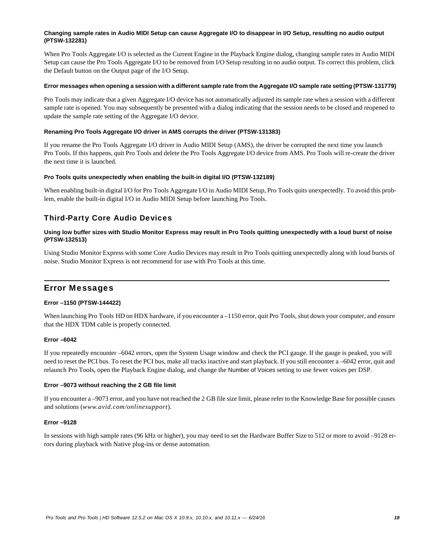#### **Changing sample rates in Audio MIDI Setup can cause Aggregate I/O to disappear in I/O Setup, resulting no audio output (PTSW-132281)**

When Pro Tools Aggregate I/O is selected as the Current Engine in the Playback Engine dialog, changing sample rates in Audio MIDI Setup can cause the Pro Tools Aggregate I/O to be removed from I/O Setup resulting in no audio output. To correct this problem, click the Default button on the Output page of the I/O Setup.

#### **Error messages when opening a session with a different sample rate from the Aggregate I/O sample rate setting (PTSW-131779)**

Pro Tools may indicate that a given Aggregate I/O device has not automatically adjusted its sample rate when a session with a different sample rate is opened. You may subsequently be presented with a dialog indicating that the session needs to be closed and reopened to update the sample rate setting of the Aggregate I/O device.

# **Renaming Pro Tools Aggregate I/O driver in AMS corrupts the driver (PTSW-131383)**

If you rename the Pro Tools Aggregate I/O driver in Audio MIDI Setup (AMS), the driver be corrupted the next time you launch Pro Tools. If this happens, quit Pro Tools and delete the Pro Tools Aggregate I/O device from AMS. Pro Tools will re-create the driver the next time it is launched.

# **Pro Tools quits unexpectedly when enabling the built-in digital I/O (PTSW-132189)**

When enabling built-in digital I/O for Pro Tools Aggregate I/O in Audio MIDI Setup, Pro Tools quits unexpectedly. To avoid this problem, enable the built-in digital I/O in Audio MIDI Setup before launching Pro Tools.

# Third-Party Core Audio Devices

# **Using low buffer sizes with Studio Monitor Express may result in Pro Tools quitting unexpectedly with a loud burst of noise (PTSW-132513)**

Using Studio Monitor Express with some Core Audio Devices may result in Pro Tools quitting unexpectedly along with loud bursts of noise. Studio Monitor Express is not recommend for use with Pro Tools at this time.

# Error Messages

# **Error –1150 (PTSW-144422)**

When launching Pro Tools HD on HDX hardware, if you encounter a –1150 error, quit Pro Tools, shut down your computer, and ensure that the HDX TDM cable is properly connected.

# **Error –6042**

If you repeatedly encounter –6042 errors, open the System Usage window and check the PCI gauge. If the gauge is peaked, you will need to reset the PCI bus. To reset the PCI bus, make all tracks inactive and start playback. If you still encounter a –6042 error, quit and relaunch Pro Tools, open the Playback Engine dialog, and change the Number of Voices setting to use fewer voices per DSP.

# **Error –9073 without reaching the 2 GB file limit**

If you encounter a –9073 error, and you have not reached the 2 GB file size limit, please refer to the Knowledge Base for possible causes and solutions (*www.avid.com/onlinesupport*).

# **Error –9128**

In sessions with high sample rates (96 kHz or higher), you may need to set the Hardware Buffer Size to 512 or more to avoid –9128 errors during playback with Native plug-ins or dense automation.